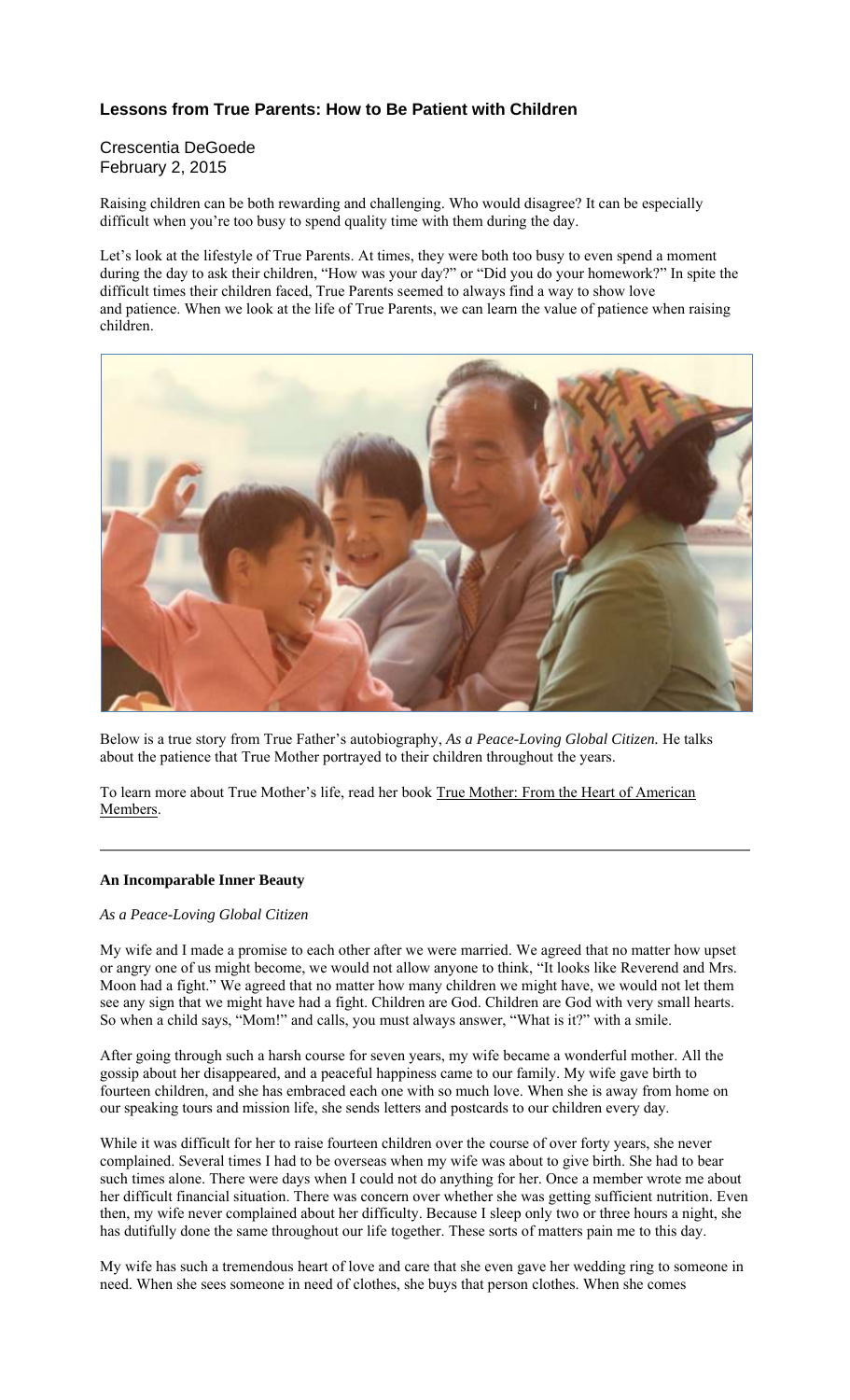## **Lessons from True Parents: How to Be Patient with Children**

Crescentia DeGoede February 2, 2015

Raising children can be both rewarding and challenging. Who would disagree? It can be especially difficult when you're too busy to spend quality time with them during the day.

Let's look at the lifestyle of True Parents. At times, they were both too busy to even spend a moment during the day to ask their children, "How was your day?" or "Did you do your homework?" In spite the difficult times their children faced, True Parents seemed to always find a way to show love and patience. When we look at the life of True Parents, we can learn the value of patience when raising children.



Below is a true story from True Father's autobiography, *As a Peace-Loving Global Citizen.* He talks about the patience that True Mother portrayed to their children throughout the years.

To learn more about True Mother's life, read her book True Mother: From the Heart of American Members.

## **An Incomparable Inner Beauty**

## *As a Peace-Loving Global Citizen*

My wife and I made a promise to each other after we were married. We agreed that no matter how upset or angry one of us might become, we would not allow anyone to think, "It looks like Reverend and Mrs. Moon had a fight." We agreed that no matter how many children we might have, we would not let them see any sign that we might have had a fight. Children are God. Children are God with very small hearts. So when a child says, "Mom!" and calls, you must always answer, "What is it?" with a smile.

After going through such a harsh course for seven years, my wife became a wonderful mother. All the gossip about her disappeared, and a peaceful happiness came to our family. My wife gave birth to fourteen children, and she has embraced each one with so much love. When she is away from home on our speaking tours and mission life, she sends letters and postcards to our children every day.

While it was difficult for her to raise fourteen children over the course of over forty years, she never complained. Several times I had to be overseas when my wife was about to give birth. She had to bear such times alone. There were days when I could not do anything for her. Once a member wrote me about her difficult financial situation. There was concern over whether she was getting sufficient nutrition. Even then, my wife never complained about her difficulty. Because I sleep only two or three hours a night, she has dutifully done the same throughout our life together. These sorts of matters pain me to this day.

My wife has such a tremendous heart of love and care that she even gave her wedding ring to someone in need. When she sees someone in need of clothes, she buys that person clothes. When she comes